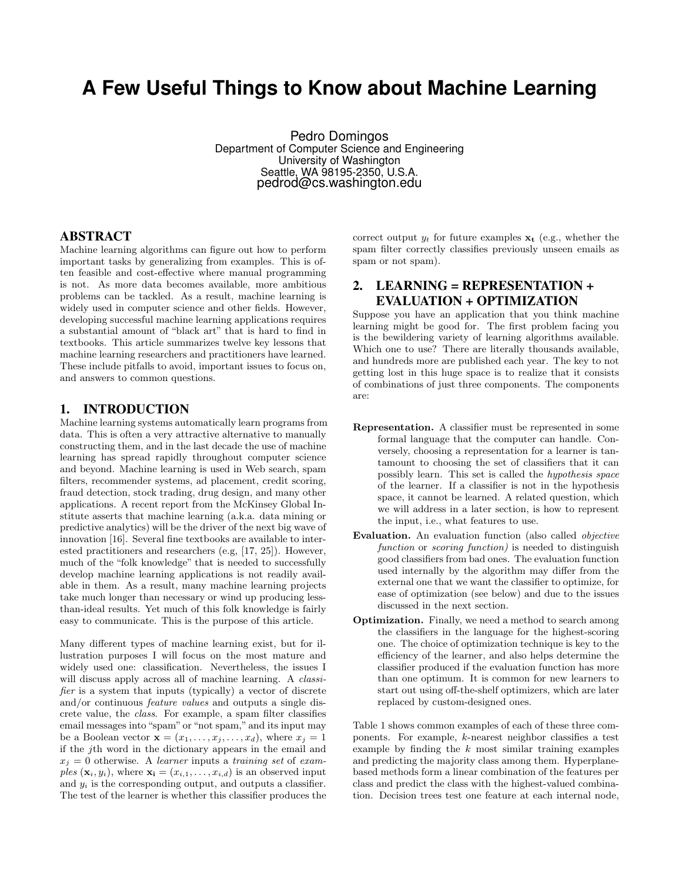# **A Few Useful Things to Know about Machine Learning**

Pedro Domingos Department of Computer Science and Engineering University of Washington Seattle, WA 98195-2350, U.S.A. pedrod@cs.washington.edu

#### ABSTRACT

Machine learning algorithms can figure out how to perform important tasks by generalizing from examples. This is often feasible and cost-effective where manual programming is not. As more data becomes available, more ambitious problems can be tackled. As a result, machine learning is widely used in computer science and other fields. However, developing successful machine learning applications requires a substantial amount of "black art" that is hard to find in textbooks. This article summarizes twelve key lessons that machine learning researchers and practitioners have learned. These include pitfalls to avoid, important issues to focus on, and answers to common questions.

#### 1. INTRODUCTION

Machine learning systems automatically learn programs from data. This is often a very attractive alternative to manually constructing them, and in the last decade the use of machine learning has spread rapidly throughout computer science and beyond. Machine learning is used in Web search, spam filters, recommender systems, ad placement, credit scoring, fraud detection, stock trading, drug design, and many other applications. A recent report from the McKinsey Global Institute asserts that machine learning (a.k.a. data mining or predictive analytics) will be the driver of the next big wave of innovation [16]. Several fine textbooks are available to interested practitioners and researchers (e.g, [17, 25]). However, much of the "folk knowledge" that is needed to successfully develop machine learning applications is not readily available in them. As a result, many machine learning projects take much longer than necessary or wind up producing lessthan-ideal results. Yet much of this folk knowledge is fairly easy to communicate. This is the purpose of this article.

Many different types of machine learning exist, but for illustration purposes I will focus on the most mature and widely used one: classification. Nevertheless, the issues I will discuss apply across all of machine learning. A *classifier* is a system that inputs (typically) a vector of discrete and/or continuous *feature values* and outputs a single discrete value, the *class*. For example, a spam filter classifies email messages into "spam" or "not spam," and its input may be a Boolean vector  $\mathbf{x} = (x_1, \ldots, x_i, \ldots, x_d)$ , where  $x_i = 1$ if the jth word in the dictionary appears in the email and  $x_i = 0$  otherwise. A *learner* inputs a *training set* of *examples*  $(\mathbf{x}_i, y_i)$ , where  $\mathbf{x}_i = (x_{i,1}, \ldots, x_{i,d})$  is an observed input and  $y_i$  is the corresponding output, and outputs a classifier. The test of the learner is whether this classifier produces the

correct output  $y_t$  for future examples  $\mathbf{x}_t$  (e.g., whether the spam filter correctly classifies previously unseen emails as spam or not spam).

# 2. LEARNING = REPRESENTATION + EVALUATION + OPTIMIZATION

Suppose you have an application that you think machine learning might be good for. The first problem facing you is the bewildering variety of learning algorithms available. Which one to use? There are literally thousands available, and hundreds more are published each year. The key to not getting lost in this huge space is to realize that it consists of combinations of just three components. The components are:

- Representation. A classifier must be represented in some formal language that the computer can handle. Conversely, choosing a representation for a learner is tantamount to choosing the set of classifiers that it can possibly learn. This set is called the *hypothesis space* of the learner. If a classifier is not in the hypothesis space, it cannot be learned. A related question, which we will address in a later section, is how to represent the input, i.e., what features to use.
- Evaluation. An evaluation function (also called *objective function* or *scoring function)* is needed to distinguish good classifiers from bad ones. The evaluation function used internally by the algorithm may differ from the external one that we want the classifier to optimize, for ease of optimization (see below) and due to the issues discussed in the next section.
- Optimization. Finally, we need a method to search among the classifiers in the language for the highest-scoring one. The choice of optimization technique is key to the efficiency of the learner, and also helps determine the classifier produced if the evaluation function has more than one optimum. It is common for new learners to start out using off-the-shelf optimizers, which are later replaced by custom-designed ones.

Table 1 shows common examples of each of these three components. For example, k-nearest neighbor classifies a test example by finding the  $k$  most similar training examples and predicting the majority class among them. Hyperplanebased methods form a linear combination of the features per class and predict the class with the highest-valued combination. Decision trees test one feature at each internal node,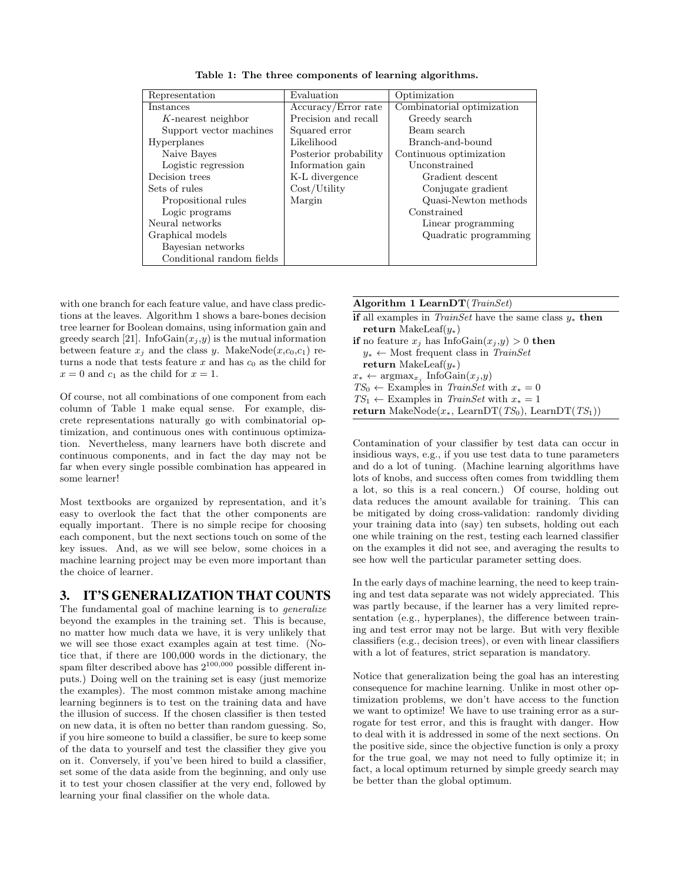| Representation            | Evaluation            | Optimization               |
|---------------------------|-----------------------|----------------------------|
| Instances                 | Accuracy/Error rate   | Combinatorial optimization |
| K-nearest neighbor        | Precision and recall  | Greedy search              |
| Support vector machines   | Squared error         | Beam search                |
| Hyperplanes               | Likelihood            | Branch-and-bound           |
| Naive Bayes               | Posterior probability | Continuous optimization    |
| Logistic regression       | Information gain      | Unconstrained              |
| Decision trees            | K-L divergence        | Gradient descent           |
| Sets of rules             | Cost/Utility          | Conjugate gradient         |
| Propositional rules       | Margin                | Quasi-Newton methods       |
| Logic programs            |                       | Constrained                |
| Neural networks           |                       | Linear programming         |
| Graphical models          |                       | Quadratic programming      |
| Bayesian networks         |                       |                            |
| Conditional random fields |                       |                            |

Table 1: The three components of learning algorithms.

with one branch for each feature value, and have class predictions at the leaves. Algorithm 1 shows a bare-bones decision tree learner for Boolean domains, using information gain and greedy search [21]. InfoGain $(x_j, y)$  is the mutual information between feature  $x_j$  and the class y. MakeNode $(x,c_0,c_1)$  returns a node that tests feature  $x$  and has  $c_0$  as the child for  $x = 0$  and  $c_1$  as the child for  $x = 1$ .

Of course, not all combinations of one component from each column of Table 1 make equal sense. For example, discrete representations naturally go with combinatorial optimization, and continuous ones with continuous optimization. Nevertheless, many learners have both discrete and continuous components, and in fact the day may not be far when every single possible combination has appeared in some learner!

Most textbooks are organized by representation, and it's easy to overlook the fact that the other components are equally important. There is no simple recipe for choosing each component, but the next sections touch on some of the key issues. And, as we will see below, some choices in a machine learning project may be even more important than the choice of learner.

#### 3. IT'S GENERALIZATION THAT COUNTS

The fundamental goal of machine learning is to *generalize* beyond the examples in the training set. This is because, no matter how much data we have, it is very unlikely that we will see those exact examples again at test time. (Notice that, if there are 100,000 words in the dictionary, the spam filter described above has  $2^{100,000}$  possible different inputs.) Doing well on the training set is easy (just memorize the examples). The most common mistake among machine learning beginners is to test on the training data and have the illusion of success. If the chosen classifier is then tested on new data, it is often no better than random guessing. So, if you hire someone to build a classifier, be sure to keep some of the data to yourself and test the classifier they give you on it. Conversely, if you've been hired to build a classifier, set some of the data aside from the beginning, and only use it to test your chosen classifier at the very end, followed by learning your final classifier on the whole data.

#### Algorithm 1 LearnDT(*TrainSet*)

| if all examples in <i>TrainSet</i> have the same class $y_*$ then  |
|--------------------------------------------------------------------|
| return MakeLeaf $(y_*)$                                            |
| <b>if</b> no feature $x_i$ has InfoGain $(x_i, y) > 0$ then        |
| $y_* \leftarrow$ Most frequent class in TrainSet                   |
| return MakeLeaf $(y_*)$                                            |
| $x_* \leftarrow \text{argmax}_{x_i} \text{InfoGain}(x_i, y)$       |
| $TS_0 \leftarrow$ Examples in TrainSet with $x_* = 0$              |
| $TS_1 \leftarrow$ Examples in TrainSet with $x_* = 1$              |
| <b>return</b> MakeNode $(x_*,$ LearnDT $(TS_0)$ , LearnDT $(TS_1)$ |

Contamination of your classifier by test data can occur in insidious ways, e.g., if you use test data to tune parameters and do a lot of tuning. (Machine learning algorithms have lots of knobs, and success often comes from twiddling them a lot, so this is a real concern.) Of course, holding out data reduces the amount available for training. This can be mitigated by doing cross-validation: randomly dividing your training data into (say) ten subsets, holding out each one while training on the rest, testing each learned classifier on the examples it did not see, and averaging the results to see how well the particular parameter setting does.

In the early days of machine learning, the need to keep training and test data separate was not widely appreciated. This was partly because, if the learner has a very limited representation (e.g., hyperplanes), the difference between training and test error may not be large. But with very flexible classifiers (e.g., decision trees), or even with linear classifiers with a lot of features, strict separation is mandatory.

Notice that generalization being the goal has an interesting consequence for machine learning. Unlike in most other optimization problems, we don't have access to the function we want to optimize! We have to use training error as a surrogate for test error, and this is fraught with danger. How to deal with it is addressed in some of the next sections. On the positive side, since the objective function is only a proxy for the true goal, we may not need to fully optimize it; in fact, a local optimum returned by simple greedy search may be better than the global optimum.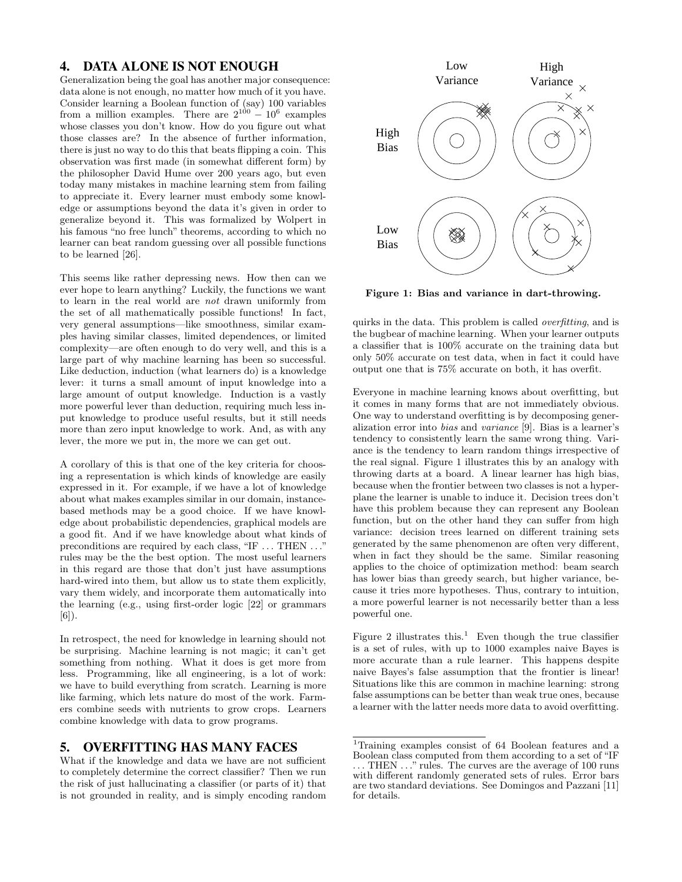#### 4. DATA ALONE IS NOT ENOUGH

Generalization being the goal has another major consequence: data alone is not enough, no matter how much of it you have. Consider learning a Boolean function of (say) 100 variables from a million examples. There are  $2^{100} - 10^6$  examples whose classes you don't know. How do you figure out what those classes are? In the absence of further information, there is just no way to do this that beats flipping a coin. This observation was first made (in somewhat different form) by the philosopher David Hume over 200 years ago, but even today many mistakes in machine learning stem from failing to appreciate it. Every learner must embody some knowledge or assumptions beyond the data it's given in order to generalize beyond it. This was formalized by Wolpert in his famous "no free lunch" theorems, according to which no learner can beat random guessing over all possible functions to be learned [26].

This seems like rather depressing news. How then can we ever hope to learn anything? Luckily, the functions we want to learn in the real world are *not* drawn uniformly from the set of all mathematically possible functions! In fact, very general assumptions—like smoothness, similar examples having similar classes, limited dependences, or limited complexity—are often enough to do very well, and this is a large part of why machine learning has been so successful. Like deduction, induction (what learners do) is a knowledge lever: it turns a small amount of input knowledge into a large amount of output knowledge. Induction is a vastly more powerful lever than deduction, requiring much less input knowledge to produce useful results, but it still needs more than zero input knowledge to work. And, as with any lever, the more we put in, the more we can get out.

A corollary of this is that one of the key criteria for choosing a representation is which kinds of knowledge are easily expressed in it. For example, if we have a lot of knowledge about what makes examples similar in our domain, instancebased methods may be a good choice. If we have knowledge about probabilistic dependencies, graphical models are a good fit. And if we have knowledge about what kinds of preconditions are required by each class, "IF ... THEN ..." rules may be the the best option. The most useful learners in this regard are those that don't just have assumptions hard-wired into them, but allow us to state them explicitly, vary them widely, and incorporate them automatically into the learning (e.g., using first-order logic [22] or grammars [6]).

In retrospect, the need for knowledge in learning should not be surprising. Machine learning is not magic; it can't get something from nothing. What it does is get more from less. Programming, like all engineering, is a lot of work: we have to build everything from scratch. Learning is more like farming, which lets nature do most of the work. Farmers combine seeds with nutrients to grow crops. Learners combine knowledge with data to grow programs.

# 5. OVERFITTING HAS MANY FACES

What if the knowledge and data we have are not sufficient to completely determine the correct classifier? Then we run the risk of just hallucinating a classifier (or parts of it) that is not grounded in reality, and is simply encoding random



Figure 1: Bias and variance in dart-throwing.

quirks in the data. This problem is called *overfitting*, and is the bugbear of machine learning. When your learner outputs a classifier that is 100% accurate on the training data but only 50% accurate on test data, when in fact it could have output one that is 75% accurate on both, it has overfit.

Everyone in machine learning knows about overfitting, but it comes in many forms that are not immediately obvious. One way to understand overfitting is by decomposing generalization error into *bias* and *variance* [9]. Bias is a learner's tendency to consistently learn the same wrong thing. Variance is the tendency to learn random things irrespective of the real signal. Figure 1 illustrates this by an analogy with throwing darts at a board. A linear learner has high bias, because when the frontier between two classes is not a hyperplane the learner is unable to induce it. Decision trees don't have this problem because they can represent any Boolean function, but on the other hand they can suffer from high variance: decision trees learned on different training sets generated by the same phenomenon are often very different, when in fact they should be the same. Similar reasoning applies to the choice of optimization method: beam search has lower bias than greedy search, but higher variance, because it tries more hypotheses. Thus, contrary to intuition, a more powerful learner is not necessarily better than a less powerful one.

Figure 2 illustrates this.<sup>1</sup> Even though the true classifier is a set of rules, with up to 1000 examples naive Bayes is more accurate than a rule learner. This happens despite naive Bayes's false assumption that the frontier is linear! Situations like this are common in machine learning: strong false assumptions can be better than weak true ones, because a learner with the latter needs more data to avoid overfitting.

<sup>1</sup>Training examples consist of 64 Boolean features and a Boolean class computed from them according to a set of "IF . . . THEN . . ." rules. The curves are the average of 100 runs with different randomly generated sets of rules. Error bars are two standard deviations. See Domingos and Pazzani [11] for details.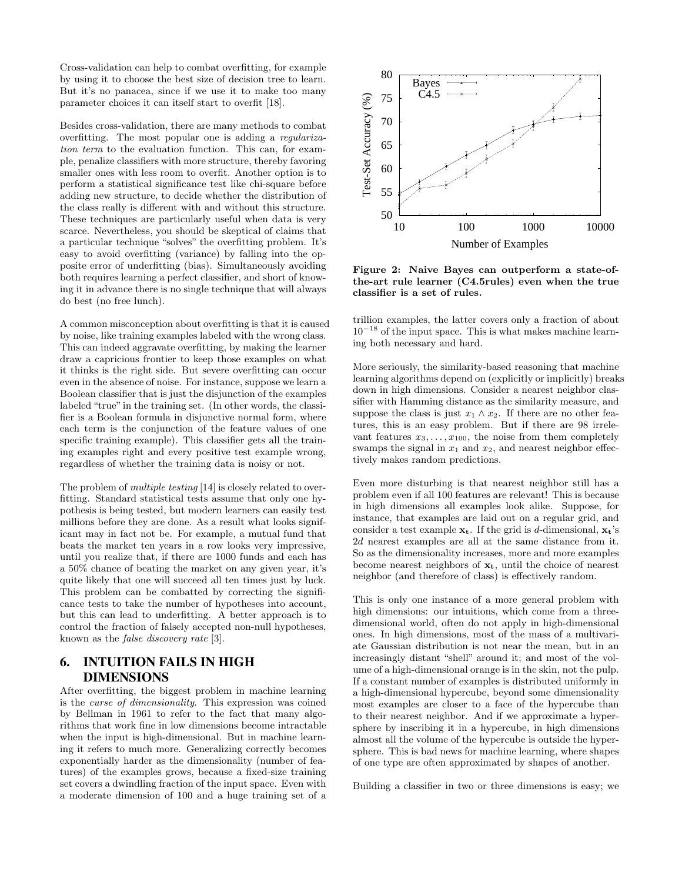Cross-validation can help to combat overfitting, for example by using it to choose the best size of decision tree to learn. But it's no panacea, since if we use it to make too many parameter choices it can itself start to overfit [18].

Besides cross-validation, there are many methods to combat overfitting. The most popular one is adding a *regularization term* to the evaluation function. This can, for example, penalize classifiers with more structure, thereby favoring smaller ones with less room to overfit. Another option is to perform a statistical significance test like chi-square before adding new structure, to decide whether the distribution of the class really is different with and without this structure. These techniques are particularly useful when data is very scarce. Nevertheless, you should be skeptical of claims that a particular technique "solves" the overfitting problem. It's easy to avoid overfitting (variance) by falling into the opposite error of underfitting (bias). Simultaneously avoiding both requires learning a perfect classifier, and short of knowing it in advance there is no single technique that will always do best (no free lunch).

A common misconception about overfitting is that it is caused by noise, like training examples labeled with the wrong class. This can indeed aggravate overfitting, by making the learner draw a capricious frontier to keep those examples on what it thinks is the right side. But severe overfitting can occur even in the absence of noise. For instance, suppose we learn a Boolean classifier that is just the disjunction of the examples labeled "true" in the training set. (In other words, the classifier is a Boolean formula in disjunctive normal form, where each term is the conjunction of the feature values of one specific training example). This classifier gets all the training examples right and every positive test example wrong, regardless of whether the training data is noisy or not.

The problem of *multiple testing* [14] is closely related to overfitting. Standard statistical tests assume that only one hypothesis is being tested, but modern learners can easily test millions before they are done. As a result what looks significant may in fact not be. For example, a mutual fund that beats the market ten years in a row looks very impressive, until you realize that, if there are 1000 funds and each has a 50% chance of beating the market on any given year, it's quite likely that one will succeed all ten times just by luck. This problem can be combatted by correcting the significance tests to take the number of hypotheses into account, but this can lead to underfitting. A better approach is to control the fraction of falsely accepted non-null hypotheses, known as the *false discovery rate* [3].

# 6. INTUITION FAILS IN HIGH DIMENSIONS

After overfitting, the biggest problem in machine learning is the *curse of dimensionality*. This expression was coined by Bellman in 1961 to refer to the fact that many algorithms that work fine in low dimensions become intractable when the input is high-dimensional. But in machine learning it refers to much more. Generalizing correctly becomes exponentially harder as the dimensionality (number of features) of the examples grows, because a fixed-size training set covers a dwindling fraction of the input space. Even with a moderate dimension of 100 and a huge training set of a



Figure 2: Naive Bayes can outperform a state-ofthe-art rule learner (C4.5rules) even when the true classifier is a set of rules.

trillion examples, the latter covers only a fraction of about  $10^{-18}$  of the input space. This is what makes machine learning both necessary and hard.

More seriously, the similarity-based reasoning that machine learning algorithms depend on (explicitly or implicitly) breaks down in high dimensions. Consider a nearest neighbor classifier with Hamming distance as the similarity measure, and suppose the class is just  $x_1 \wedge x_2$ . If there are no other features, this is an easy problem. But if there are 98 irrelevant features  $x_3, \ldots, x_{100}$ , the noise from them completely swamps the signal in  $x_1$  and  $x_2$ , and nearest neighbor effectively makes random predictions.

Even more disturbing is that nearest neighbor still has a problem even if all 100 features are relevant! This is because in high dimensions all examples look alike. Suppose, for instance, that examples are laid out on a regular grid, and consider a test example  $x_t$ . If the grid is d-dimensional,  $x_t$ 's 2d nearest examples are all at the same distance from it. So as the dimensionality increases, more and more examples become nearest neighbors of  $x_t$ , until the choice of nearest neighbor (and therefore of class) is effectively random.

This is only one instance of a more general problem with high dimensions: our intuitions, which come from a threedimensional world, often do not apply in high-dimensional ones. In high dimensions, most of the mass of a multivariate Gaussian distribution is not near the mean, but in an increasingly distant "shell" around it; and most of the volume of a high-dimensional orange is in the skin, not the pulp. If a constant number of examples is distributed uniformly in a high-dimensional hypercube, beyond some dimensionality most examples are closer to a face of the hypercube than to their nearest neighbor. And if we approximate a hypersphere by inscribing it in a hypercube, in high dimensions almost all the volume of the hypercube is outside the hypersphere. This is bad news for machine learning, where shapes of one type are often approximated by shapes of another.

Building a classifier in two or three dimensions is easy; we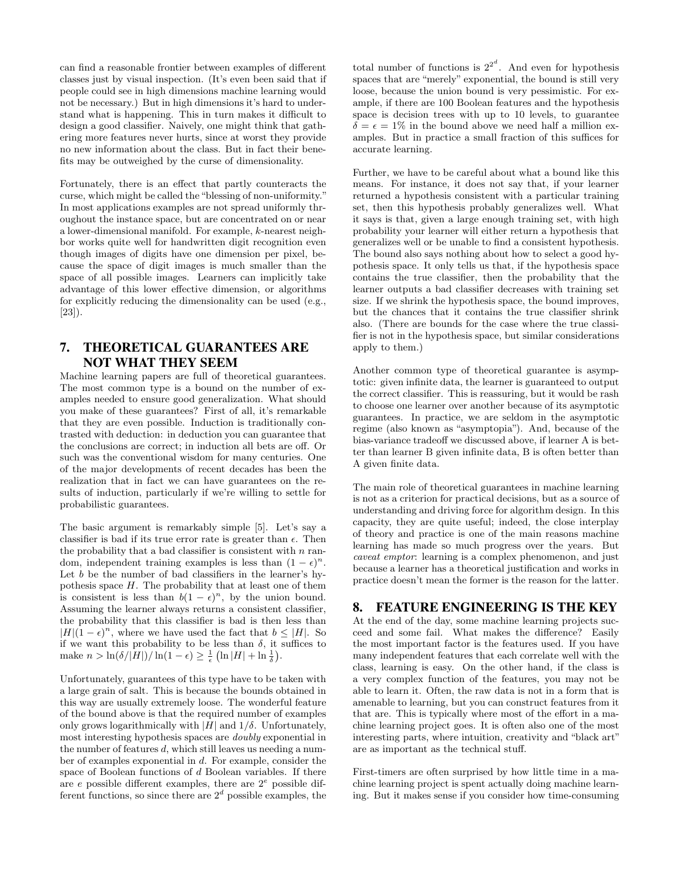can find a reasonable frontier between examples of different classes just by visual inspection. (It's even been said that if people could see in high dimensions machine learning would not be necessary.) But in high dimensions it's hard to understand what is happening. This in turn makes it difficult to design a good classifier. Naively, one might think that gathering more features never hurts, since at worst they provide no new information about the class. But in fact their benefits may be outweighed by the curse of dimensionality.

Fortunately, there is an effect that partly counteracts the curse, which might be called the"blessing of non-uniformity." In most applications examples are not spread uniformly throughout the instance space, but are concentrated on or near a lower-dimensional manifold. For example, k-nearest neighbor works quite well for handwritten digit recognition even though images of digits have one dimension per pixel, because the space of digit images is much smaller than the space of all possible images. Learners can implicitly take advantage of this lower effective dimension, or algorithms for explicitly reducing the dimensionality can be used (e.g., [23]).

# 7. THEORETICAL GUARANTEES ARE NOT WHAT THEY SEEM

Machine learning papers are full of theoretical guarantees. The most common type is a bound on the number of examples needed to ensure good generalization. What should you make of these guarantees? First of all, it's remarkable that they are even possible. Induction is traditionally contrasted with deduction: in deduction you can guarantee that the conclusions are correct; in induction all bets are off. Or such was the conventional wisdom for many centuries. One of the major developments of recent decades has been the realization that in fact we can have guarantees on the results of induction, particularly if we're willing to settle for probabilistic guarantees.

The basic argument is remarkably simple [5]. Let's say a classifier is bad if its true error rate is greater than  $\epsilon$ . Then the probability that a bad classifier is consistent with  $n$  random, independent training examples is less than  $(1 - \epsilon)^n$ . Let  $b$  be the number of bad classifiers in the learner's hypothesis space  $H$ . The probability that at least one of them is consistent is less than  $b(1 - \epsilon)^n$ , by the union bound. Assuming the learner always returns a consistent classifier, the probability that this classifier is bad is then less than  $|H|(1-\epsilon)^n$ , where we have used the fact that  $b \leq |H|$ . So if we want this probability to be less than  $\delta$ , it suffices to make  $n > \ln(\delta/|H|)/\ln(1-\epsilon) \geq \frac{1}{\epsilon} \left( \ln |H| + \ln \frac{1}{\delta} \right)$ .

Unfortunately, guarantees of this type have to be taken with a large grain of salt. This is because the bounds obtained in this way are usually extremely loose. The wonderful feature of the bound above is that the required number of examples only grows logarithmically with  $|H|$  and  $1/\delta$ . Unfortunately, most interesting hypothesis spaces are *doubly* exponential in the number of features  $d$ , which still leaves us needing a number of examples exponential in d. For example, consider the space of Boolean functions of  $d$  Boolean variables. If there are  $e$  possible different examples, there are  $2^e$  possible different functions, so since there are  $2<sup>d</sup>$  possible examples, the

total number of functions is  $2^{2^d}$ . And even for hypothesis spaces that are "merely" exponential, the bound is still very loose, because the union bound is very pessimistic. For example, if there are 100 Boolean features and the hypothesis space is decision trees with up to 10 levels, to guarantee  $\delta = \epsilon = 1\%$  in the bound above we need half a million examples. But in practice a small fraction of this suffices for accurate learning.

Further, we have to be careful about what a bound like this means. For instance, it does not say that, if your learner returned a hypothesis consistent with a particular training set, then this hypothesis probably generalizes well. What it says is that, given a large enough training set, with high probability your learner will either return a hypothesis that generalizes well or be unable to find a consistent hypothesis. The bound also says nothing about how to select a good hypothesis space. It only tells us that, if the hypothesis space contains the true classifier, then the probability that the learner outputs a bad classifier decreases with training set size. If we shrink the hypothesis space, the bound improves, but the chances that it contains the true classifier shrink also. (There are bounds for the case where the true classifier is not in the hypothesis space, but similar considerations apply to them.)

Another common type of theoretical guarantee is asymptotic: given infinite data, the learner is guaranteed to output the correct classifier. This is reassuring, but it would be rash to choose one learner over another because of its asymptotic guarantees. In practice, we are seldom in the asymptotic regime (also known as "asymptopia"). And, because of the bias-variance tradeoff we discussed above, if learner A is better than learner B given infinite data, B is often better than A given finite data.

The main role of theoretical guarantees in machine learning is not as a criterion for practical decisions, but as a source of understanding and driving force for algorithm design. In this capacity, they are quite useful; indeed, the close interplay of theory and practice is one of the main reasons machine learning has made so much progress over the years. But *caveat emptor*: learning is a complex phenomenon, and just because a learner has a theoretical justification and works in practice doesn't mean the former is the reason for the latter.

#### 8. FEATURE ENGINEERING IS THE KEY

At the end of the day, some machine learning projects succeed and some fail. What makes the difference? Easily the most important factor is the features used. If you have many independent features that each correlate well with the class, learning is easy. On the other hand, if the class is a very complex function of the features, you may not be able to learn it. Often, the raw data is not in a form that is amenable to learning, but you can construct features from it that are. This is typically where most of the effort in a machine learning project goes. It is often also one of the most interesting parts, where intuition, creativity and "black art" are as important as the technical stuff.

First-timers are often surprised by how little time in a machine learning project is spent actually doing machine learning. But it makes sense if you consider how time-consuming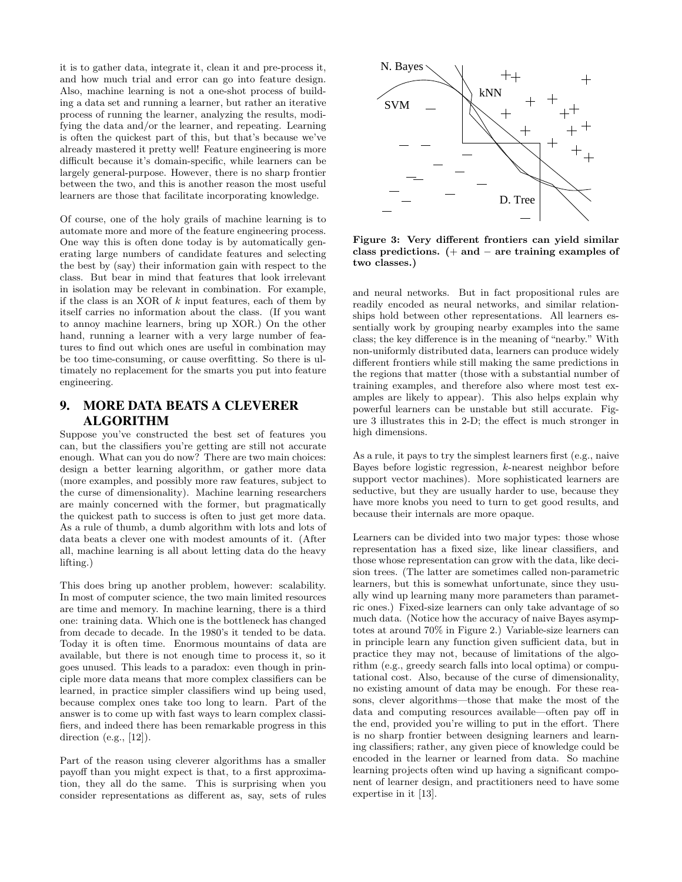it is to gather data, integrate it, clean it and pre-process it, and how much trial and error can go into feature design. Also, machine learning is not a one-shot process of building a data set and running a learner, but rather an iterative process of running the learner, analyzing the results, modifying the data and/or the learner, and repeating. Learning is often the quickest part of this, but that's because we've already mastered it pretty well! Feature engineering is more difficult because it's domain-specific, while learners can be largely general-purpose. However, there is no sharp frontier between the two, and this is another reason the most useful learners are those that facilitate incorporating knowledge.

Of course, one of the holy grails of machine learning is to automate more and more of the feature engineering process. One way this is often done today is by automatically generating large numbers of candidate features and selecting the best by (say) their information gain with respect to the class. But bear in mind that features that look irrelevant in isolation may be relevant in combination. For example, if the class is an XOR of  $k$  input features, each of them by itself carries no information about the class. (If you want to annoy machine learners, bring up XOR.) On the other hand, running a learner with a very large number of features to find out which ones are useful in combination may be too time-consuming, or cause overfitting. So there is ultimately no replacement for the smarts you put into feature engineering.

# 9. MORE DATA BEATS A CLEVERER ALGORITHM

Suppose you've constructed the best set of features you can, but the classifiers you're getting are still not accurate enough. What can you do now? There are two main choices: design a better learning algorithm, or gather more data (more examples, and possibly more raw features, subject to the curse of dimensionality). Machine learning researchers are mainly concerned with the former, but pragmatically the quickest path to success is often to just get more data. As a rule of thumb, a dumb algorithm with lots and lots of data beats a clever one with modest amounts of it. (After all, machine learning is all about letting data do the heavy lifting.)

This does bring up another problem, however: scalability. In most of computer science, the two main limited resources are time and memory. In machine learning, there is a third one: training data. Which one is the bottleneck has changed from decade to decade. In the 1980's it tended to be data. Today it is often time. Enormous mountains of data are available, but there is not enough time to process it, so it goes unused. This leads to a paradox: even though in principle more data means that more complex classifiers can be learned, in practice simpler classifiers wind up being used, because complex ones take too long to learn. Part of the answer is to come up with fast ways to learn complex classifiers, and indeed there has been remarkable progress in this direction (e.g.,  $[12]$ ).

Part of the reason using cleverer algorithms has a smaller payoff than you might expect is that, to a first approximation, they all do the same. This is surprising when you consider representations as different as, say, sets of rules



Figure 3: Very different frontiers can yield similar class predictions. (+ and − are training examples of two classes.)

and neural networks. But in fact propositional rules are readily encoded as neural networks, and similar relationships hold between other representations. All learners essentially work by grouping nearby examples into the same class; the key difference is in the meaning of "nearby." With non-uniformly distributed data, learners can produce widely different frontiers while still making the same predictions in the regions that matter (those with a substantial number of training examples, and therefore also where most test examples are likely to appear). This also helps explain why powerful learners can be unstable but still accurate. Figure 3 illustrates this in 2-D; the effect is much stronger in high dimensions.

As a rule, it pays to try the simplest learners first (e.g., naive Bayes before logistic regression, k-nearest neighbor before support vector machines). More sophisticated learners are seductive, but they are usually harder to use, because they have more knobs you need to turn to get good results, and because their internals are more opaque.

Learners can be divided into two major types: those whose representation has a fixed size, like linear classifiers, and those whose representation can grow with the data, like decision trees. (The latter are sometimes called non-parametric learners, but this is somewhat unfortunate, since they usually wind up learning many more parameters than parametric ones.) Fixed-size learners can only take advantage of so much data. (Notice how the accuracy of naive Bayes asymptotes at around 70% in Figure 2.) Variable-size learners can in principle learn any function given sufficient data, but in practice they may not, because of limitations of the algorithm (e.g., greedy search falls into local optima) or computational cost. Also, because of the curse of dimensionality, no existing amount of data may be enough. For these reasons, clever algorithms—those that make the most of the data and computing resources available—often pay off in the end, provided you're willing to put in the effort. There is no sharp frontier between designing learners and learning classifiers; rather, any given piece of knowledge could be encoded in the learner or learned from data. So machine learning projects often wind up having a significant component of learner design, and practitioners need to have some expertise in it [13].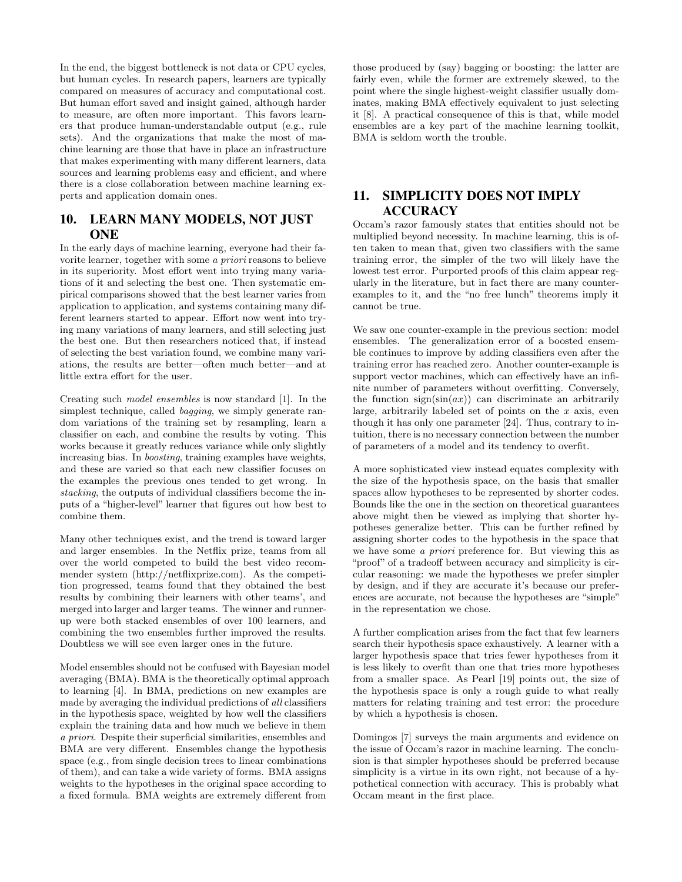In the end, the biggest bottleneck is not data or CPU cycles, but human cycles. In research papers, learners are typically compared on measures of accuracy and computational cost. But human effort saved and insight gained, although harder to measure, are often more important. This favors learners that produce human-understandable output (e.g., rule sets). And the organizations that make the most of machine learning are those that have in place an infrastructure that makes experimenting with many different learners, data sources and learning problems easy and efficient, and where there is a close collaboration between machine learning experts and application domain ones.

# 10. LEARN MANY MODELS, NOT JUST **ONE**

In the early days of machine learning, everyone had their favorite learner, together with some *a priori* reasons to believe in its superiority. Most effort went into trying many variations of it and selecting the best one. Then systematic empirical comparisons showed that the best learner varies from application to application, and systems containing many different learners started to appear. Effort now went into trying many variations of many learners, and still selecting just the best one. But then researchers noticed that, if instead of selecting the best variation found, we combine many variations, the results are better—often much better—and at little extra effort for the user.

Creating such *model ensembles* is now standard [1]. In the simplest technique, called *bagging*, we simply generate random variations of the training set by resampling, learn a classifier on each, and combine the results by voting. This works because it greatly reduces variance while only slightly increasing bias. In *boosting*, training examples have weights, and these are varied so that each new classifier focuses on the examples the previous ones tended to get wrong. In *stacking*, the outputs of individual classifiers become the inputs of a "higher-level" learner that figures out how best to combine them.

Many other techniques exist, and the trend is toward larger and larger ensembles. In the Netflix prize, teams from all over the world competed to build the best video recommender system (http://netflixprize.com). As the competition progressed, teams found that they obtained the best results by combining their learners with other teams', and merged into larger and larger teams. The winner and runnerup were both stacked ensembles of over 100 learners, and combining the two ensembles further improved the results. Doubtless we will see even larger ones in the future.

Model ensembles should not be confused with Bayesian model averaging (BMA). BMA is the theoretically optimal approach to learning [4]. In BMA, predictions on new examples are made by averaging the individual predictions of *all* classifiers in the hypothesis space, weighted by how well the classifiers explain the training data and how much we believe in them *a priori*. Despite their superficial similarities, ensembles and BMA are very different. Ensembles change the hypothesis space (e.g., from single decision trees to linear combinations of them), and can take a wide variety of forms. BMA assigns weights to the hypotheses in the original space according to a fixed formula. BMA weights are extremely different from

those produced by (say) bagging or boosting: the latter are fairly even, while the former are extremely skewed, to the point where the single highest-weight classifier usually dominates, making BMA effectively equivalent to just selecting it [8]. A practical consequence of this is that, while model ensembles are a key part of the machine learning toolkit, BMA is seldom worth the trouble.

# 11. SIMPLICITY DOES NOT IMPLY **ACCURACY**

Occam's razor famously states that entities should not be multiplied beyond necessity. In machine learning, this is often taken to mean that, given two classifiers with the same training error, the simpler of the two will likely have the lowest test error. Purported proofs of this claim appear regularly in the literature, but in fact there are many counterexamples to it, and the "no free lunch" theorems imply it cannot be true.

We saw one counter-example in the previous section: model ensembles. The generalization error of a boosted ensemble continues to improve by adding classifiers even after the training error has reached zero. Another counter-example is support vector machines, which can effectively have an infinite number of parameters without overfitting. Conversely, the function  $sign(sin(ax))$  can discriminate an arbitrarily large, arbitrarily labeled set of points on the  $x$  axis, even though it has only one parameter [24]. Thus, contrary to intuition, there is no necessary connection between the number of parameters of a model and its tendency to overfit.

A more sophisticated view instead equates complexity with the size of the hypothesis space, on the basis that smaller spaces allow hypotheses to be represented by shorter codes. Bounds like the one in the section on theoretical guarantees above might then be viewed as implying that shorter hypotheses generalize better. This can be further refined by assigning shorter codes to the hypothesis in the space that we have some *a priori* preference for. But viewing this as "proof" of a tradeoff between accuracy and simplicity is circular reasoning: we made the hypotheses we prefer simpler by design, and if they are accurate it's because our preferences are accurate, not because the hypotheses are "simple" in the representation we chose.

A further complication arises from the fact that few learners search their hypothesis space exhaustively. A learner with a larger hypothesis space that tries fewer hypotheses from it is less likely to overfit than one that tries more hypotheses from a smaller space. As Pearl [19] points out, the size of the hypothesis space is only a rough guide to what really matters for relating training and test error: the procedure by which a hypothesis is chosen.

Domingos [7] surveys the main arguments and evidence on the issue of Occam's razor in machine learning. The conclusion is that simpler hypotheses should be preferred because simplicity is a virtue in its own right, not because of a hypothetical connection with accuracy. This is probably what Occam meant in the first place.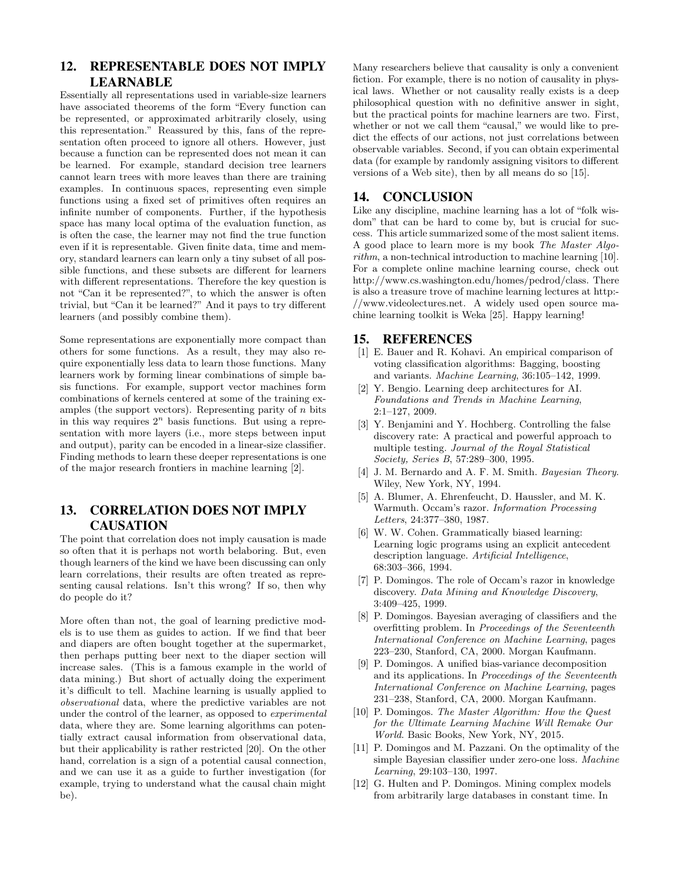# 12. REPRESENTABLE DOES NOT IMPLY LEARNABLE

Essentially all representations used in variable-size learners have associated theorems of the form "Every function can be represented, or approximated arbitrarily closely, using this representation." Reassured by this, fans of the representation often proceed to ignore all others. However, just because a function can be represented does not mean it can be learned. For example, standard decision tree learners cannot learn trees with more leaves than there are training examples. In continuous spaces, representing even simple functions using a fixed set of primitives often requires an infinite number of components. Further, if the hypothesis space has many local optima of the evaluation function, as is often the case, the learner may not find the true function even if it is representable. Given finite data, time and memory, standard learners can learn only a tiny subset of all possible functions, and these subsets are different for learners with different representations. Therefore the key question is not "Can it be represented?", to which the answer is often trivial, but "Can it be learned?" And it pays to try different learners (and possibly combine them).

Some representations are exponentially more compact than others for some functions. As a result, they may also require exponentially less data to learn those functions. Many learners work by forming linear combinations of simple basis functions. For example, support vector machines form combinations of kernels centered at some of the training examples (the support vectors). Representing parity of  $n$  bits in this way requires  $2^n$  basis functions. But using a representation with more layers (i.e., more steps between input and output), parity can be encoded in a linear-size classifier. Finding methods to learn these deeper representations is one of the major research frontiers in machine learning [2].

# 13. CORRELATION DOES NOT IMPLY **CAUSATION**

The point that correlation does not imply causation is made so often that it is perhaps not worth belaboring. But, even though learners of the kind we have been discussing can only learn correlations, their results are often treated as representing causal relations. Isn't this wrong? If so, then why do people do it?

More often than not, the goal of learning predictive models is to use them as guides to action. If we find that beer and diapers are often bought together at the supermarket, then perhaps putting beer next to the diaper section will increase sales. (This is a famous example in the world of data mining.) But short of actually doing the experiment it's difficult to tell. Machine learning is usually applied to *observational* data, where the predictive variables are not under the control of the learner, as opposed to *experimental* data, where they are. Some learning algorithms can potentially extract causal information from observational data, but their applicability is rather restricted [20]. On the other hand, correlation is a sign of a potential causal connection, and we can use it as a guide to further investigation (for example, trying to understand what the causal chain might be).

Many researchers believe that causality is only a convenient fiction. For example, there is no notion of causality in physical laws. Whether or not causality really exists is a deep philosophical question with no definitive answer in sight, but the practical points for machine learners are two. First, whether or not we call them "causal," we would like to predict the effects of our actions, not just correlations between observable variables. Second, if you can obtain experimental data (for example by randomly assigning visitors to different versions of a Web site), then by all means do so [15].

#### 14. CONCLUSION

Like any discipline, machine learning has a lot of "folk wisdom" that can be hard to come by, but is crucial for success. This article summarized some of the most salient items. A good place to learn more is my book *The Master Algorithm*, a non-technical introduction to machine learning [10]. For a complete online machine learning course, check out http://www.cs.washington.edu/homes/pedrod/class. There is also a treasure trove of machine learning lectures at http:- //www.videolectures.net. A widely used open source machine learning toolkit is Weka [25]. Happy learning!

#### 15. REFERENCES

- [1] E. Bauer and R. Kohavi. An empirical comparison of voting classification algorithms: Bagging, boosting and variants. *Machine Learning*, 36:105–142, 1999.
- [2] Y. Bengio. Learning deep architectures for AI. *Foundations and Trends in Machine Learning*, 2:1–127, 2009.
- [3] Y. Benjamini and Y. Hochberg. Controlling the false discovery rate: A practical and powerful approach to multiple testing. *Journal of the Royal Statistical Society, Series B*, 57:289–300, 1995.
- [4] J. M. Bernardo and A. F. M. Smith. *Bayesian Theory*. Wiley, New York, NY, 1994.
- [5] A. Blumer, A. Ehrenfeucht, D. Haussler, and M. K. Warmuth. Occam's razor. *Information Processing Letters*, 24:377–380, 1987.
- [6] W. W. Cohen. Grammatically biased learning: Learning logic programs using an explicit antecedent description language. *Artificial Intelligence*, 68:303–366, 1994.
- [7] P. Domingos. The role of Occam's razor in knowledge discovery. *Data Mining and Knowledge Discovery*, 3:409–425, 1999.
- [8] P. Domingos. Bayesian averaging of classifiers and the overfitting problem. In *Proceedings of the Seventeenth International Conference on Machine Learning*, pages 223–230, Stanford, CA, 2000. Morgan Kaufmann.
- [9] P. Domingos. A unified bias-variance decomposition and its applications. In *Proceedings of the Seventeenth International Conference on Machine Learning*, pages 231–238, Stanford, CA, 2000. Morgan Kaufmann.
- [10] P. Domingos. *The Master Algorithm: How the Quest for the Ultimate Learning Machine Will Remake Our World*. Basic Books, New York, NY, 2015.
- [11] P. Domingos and M. Pazzani. On the optimality of the simple Bayesian classifier under zero-one loss. *Machine Learning*, 29:103–130, 1997.
- [12] G. Hulten and P. Domingos. Mining complex models from arbitrarily large databases in constant time. In